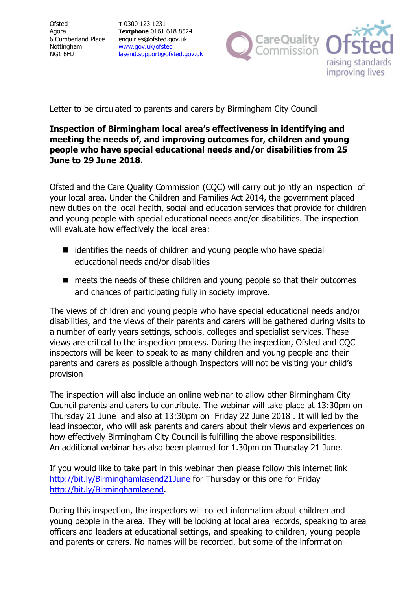**Ofsted** Agora 6 Cumberland Place Nottingham NG1 6HJ

T 0300 123 1231 Textphone 0161 618 8524 enquiries@ofsted.gov.uk www.gov.uk/ofsted lasend.support@ofsted.gov.uk



Letter to be circulated to parents and carers by Birmingham City Council

## Inspection of Birmingham local area's effectiveness in identifying and meeting the needs of, and improving outcomes for, children and young people who have special educational needs and/or disabilities from 25 June to 29 June 2018.

Ofsted and the Care Quality Commission (CQC) will carry out jointly an inspection of your local area. Under the Children and Families Act 2014, the government placed new duties on the local health, social and education services that provide for children and young people with special educational needs and/or disabilities. The inspection will evaluate how effectively the local area:

- $\blacksquare$  identifies the needs of children and young people who have special educational needs and/or disabilities
- meets the needs of these children and young people so that their outcomes and chances of participating fully in society improve.

The views of children and young people who have special educational needs and/or disabilities, and the views of their parents and carers will be gathered during visits to a number of early years settings, schools, colleges and specialist services. These views are critical to the inspection process. During the inspection, Ofsted and CQC inspectors will be keen to speak to as many children and young people and their parents and carers as possible although Inspectors will not be visiting your child's provision

The inspection will also include an online webinar to allow other Birmingham City Council parents and carers to contribute. The webinar will take place at 13:30pm on Thursday 21 June and also at 13:30pm on Friday 22 June 2018 . It will led by the lead inspector, who will ask parents and carers about their views and experiences on how effectively Birmingham City Council is fulfilling the above responsibilities. An additional webinar has also been planned for 1.30pm on Thursday 21 June.

If you would like to take part in this webinar then please follow this internet link http://bit.ly/Birminghamlasend21June for Thursday or this one for Friday http://bit.ly/Birminghamlasend.

During this inspection, the inspectors will collect information about children and young people in the area. They will be looking at local area records, speaking to area officers and leaders at educational settings, and speaking to children, young people and parents or carers. No names will be recorded, but some of the information